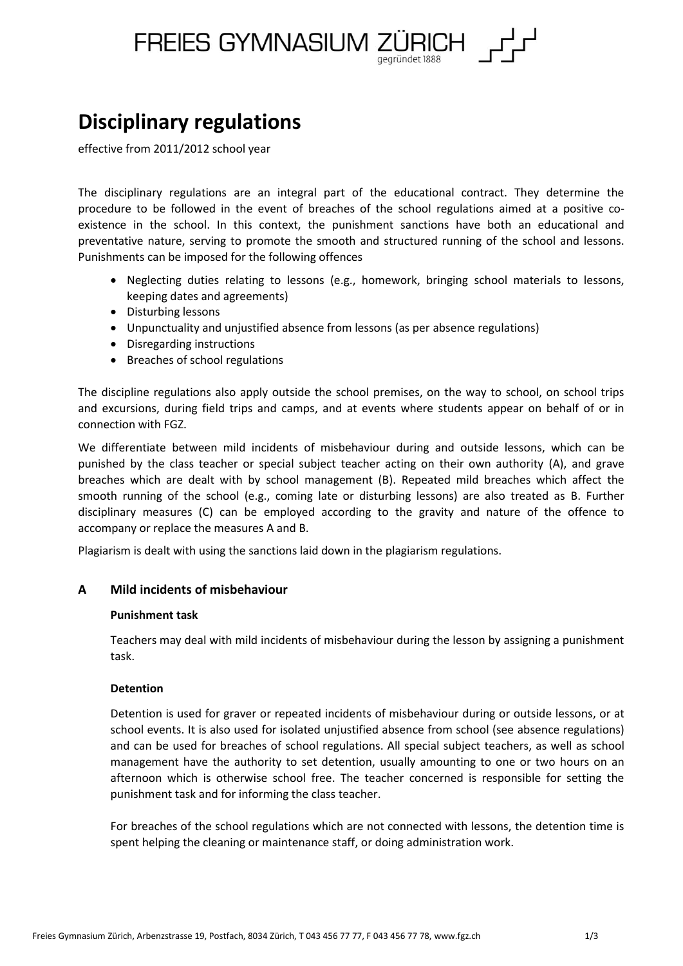

# **Disciplinary regulations**

effective from 2011/2012 school year

The disciplinary regulations are an integral part of the educational contract. They determine the procedure to be followed in the event of breaches of the school regulations aimed at a positive coexistence in the school. In this context, the punishment sanctions have both an educational and preventative nature, serving to promote the smooth and structured running of the school and lessons. Punishments can be imposed for the following offences

- Neglecting duties relating to lessons (e.g., homework, bringing school materials to lessons, keeping dates and agreements)
- Disturbing lessons
- Unpunctuality and unjustified absence from lessons (as per absence regulations)
- Disregarding instructions
- Breaches of school regulations

The discipline regulations also apply outside the school premises, on the way to school, on school trips and excursions, during field trips and camps, and at events where students appear on behalf of or in connection with FGZ.

We differentiate between mild incidents of misbehaviour during and outside lessons, which can be punished by the class teacher or special subject teacher acting on their own authority (A), and grave breaches which are dealt with by school management (B). Repeated mild breaches which affect the smooth running of the school (e.g., coming late or disturbing lessons) are also treated as B. Further disciplinary measures (C) can be employed according to the gravity and nature of the offence to accompany or replace the measures A and B.

Plagiarism is dealt with using the sanctions laid down in the plagiarism regulations.

## **A Mild incidents of misbehaviour**

## **Punishment task**

Teachers may deal with mild incidents of misbehaviour during the lesson by assigning a punishment task.

## **Detention**

Detention is used for graver or repeated incidents of misbehaviour during or outside lessons, or at school events. It is also used for isolated unjustified absence from school (see absence regulations) and can be used for breaches of school regulations. All special subject teachers, as well as school management have the authority to set detention, usually amounting to one or two hours on an afternoon which is otherwise school free. The teacher concerned is responsible for setting the punishment task and for informing the class teacher.

For breaches of the school regulations which are not connected with lessons, the detention time is spent helping the cleaning or maintenance staff, or doing administration work.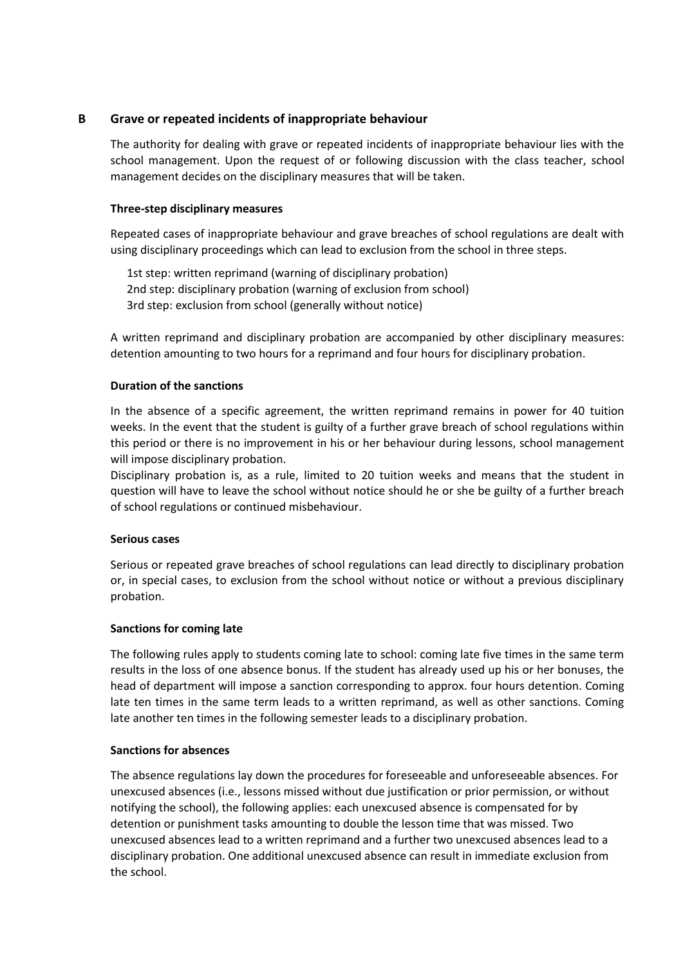# **B Grave or repeated incidents of inappropriate behaviour**

The authority for dealing with grave or repeated incidents of inappropriate behaviour lies with the school management. Upon the request of or following discussion with the class teacher, school management decides on the disciplinary measures that will be taken.

# **Three-step disciplinary measures**

Repeated cases of inappropriate behaviour and grave breaches of school regulations are dealt with using disciplinary proceedings which can lead to exclusion from the school in three steps.

1st step: written reprimand (warning of disciplinary probation) 2nd step: disciplinary probation (warning of exclusion from school) 3rd step: exclusion from school (generally without notice)

A written reprimand and disciplinary probation are accompanied by other disciplinary measures: detention amounting to two hours for a reprimand and four hours for disciplinary probation.

# **Duration of the sanctions**

In the absence of a specific agreement, the written reprimand remains in power for 40 tuition weeks. In the event that the student is guilty of a further grave breach of school regulations within this period or there is no improvement in his or her behaviour during lessons, school management will impose disciplinary probation.

Disciplinary probation is, as a rule, limited to 20 tuition weeks and means that the student in question will have to leave the school without notice should he or she be guilty of a further breach of school regulations or continued misbehaviour.

## **Serious cases**

Serious or repeated grave breaches of school regulations can lead directly to disciplinary probation or, in special cases, to exclusion from the school without notice or without a previous disciplinary probation.

## **Sanctions for coming late**

The following rules apply to students coming late to school: coming late five times in the same term results in the loss of one absence bonus. If the student has already used up his or her bonuses, the head of department will impose a sanction corresponding to approx. four hours detention. Coming late ten times in the same term leads to a written reprimand, as well as other sanctions. Coming late another ten times in the following semester leads to a disciplinary probation.

## **Sanctions for absences**

The absence regulations lay down the procedures for foreseeable and unforeseeable absences. For unexcused absences (i.e., lessons missed without due justification or prior permission, or without notifying the school), the following applies: each unexcused absence is compensated for by detention or punishment tasks amounting to double the lesson time that was missed. Two unexcused absences lead to a written reprimand and a further two unexcused absences lead to a disciplinary probation. One additional unexcused absence can result in immediate exclusion from the school.